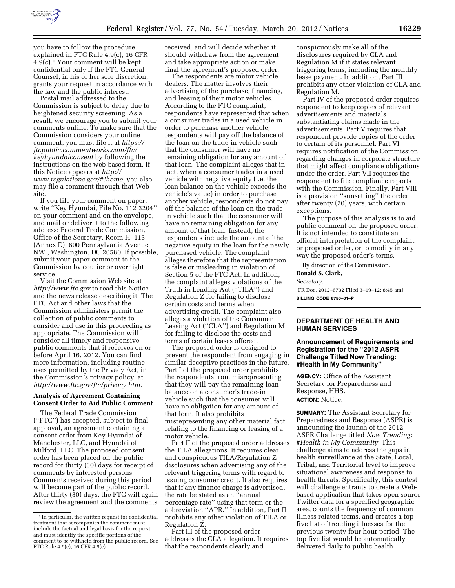

you have to follow the procedure explained in FTC Rule 4.9(c), 16 CFR 4.9(c).1 Your comment will be kept confidential only if the FTC General Counsel, in his or her sole discretion, grants your request in accordance with the law and the public interest.

Postal mail addressed to the Commission is subject to delay due to heightened security screening. As a result, we encourage you to submit your comments online. To make sure that the Commission considers your online comment, you must file it at *[https://](https://ftcpublic.commentworks.com/ftc/keyhyundaiconsent) [ftcpublic.commentworks.com/ftc/](https://ftcpublic.commentworks.com/ftc/keyhyundaiconsent)  [keyhyundaiconsent](https://ftcpublic.commentworks.com/ftc/keyhyundaiconsent)* by following the instructions on the web-based form. If this Notice appears at *[http://](http://www.regulations.gov) [www.regulations.gov/#!](http://www.regulations.gov)home*, you also may file a comment through that Web site.

If you file your comment on paper, write ''Key Hyundai, File No. 112 3204'' on your comment and on the envelope, and mail or deliver it to the following address: Federal Trade Commission, Office of the Secretary, Room H–113 (Annex D), 600 Pennsylvania Avenue NW., Washington, DC 20580. If possible, submit your paper comment to the Commission by courier or overnight service.

Visit the Commission Web site at *http://www.ftc.gov* to read this Notice and the news release describing it. The FTC Act and other laws that the Commission administers permit the collection of public comments to consider and use in this proceeding as appropriate. The Commission will consider all timely and responsive public comments that it receives on or before April 16, 2012. You can find more information, including routine uses permitted by the Privacy Act, in the Commission's privacy policy, at *http://www.ftc.gov/ftc/privacy.htm.* 

### **Analysis of Agreement Containing Consent Order to Aid Public Comment**

The Federal Trade Commission (''FTC'') has accepted, subject to final approval, an agreement containing a consent order from Key Hyundai of Manchester, LLC, and Hyundai of Milford, LLC. The proposed consent order has been placed on the public record for thirty (30) days for receipt of comments by interested persons. Comments received during this period will become part of the public record. After thirty (30) days, the FTC will again review the agreement and the comments

received, and will decide whether it should withdraw from the agreement and take appropriate action or make final the agreement's proposed order.

The respondents are motor vehicle dealers. The matter involves their advertising of the purchase, financing, and leasing of their motor vehicles. According to the FTC complaint, respondents have represented that when a consumer trades in a used vehicle in order to purchase another vehicle, respondents will pay off the balance of the loan on the trade-in vehicle such that the consumer will have no remaining obligation for any amount of that loan. The complaint alleges that in fact, when a consumer trades in a used vehicle with negative equity (i.e. the loan balance on the vehicle exceeds the vehicle's value) in order to purchase another vehicle, respondents do not pay off the balance of the loan on the tradein vehicle such that the consumer will have no remaining obligation for any amount of that loan. Instead, the respondents include the amount of the negative equity in the loan for the newly purchased vehicle. The complaint alleges therefore that the representation is false or misleading in violation of Section 5 of the FTC Act. In addition, the complaint alleges violations of the Truth in Lending Act (''TILA'') and Regulation Z for failing to disclose certain costs and terms when advertising credit. The complaint also alleges a violation of the Consumer Leasing Act (''CLA'') and Regulation M for failing to disclose the costs and terms of certain leases offered.

The proposed order is designed to prevent the respondent from engaging in similar deceptive practices in the future. Part I of the proposed order prohibits the respondents from misrepresenting that they will pay the remaining loan balance on a consumer's trade-in vehicle such that the consumer will have no obligation for any amount of that loan. It also prohibits misrepresenting any other material fact relating to the financing or leasing of a motor vehicle.

Part II of the proposed order addresses the TILA allegations. It requires clear and conspicuous TILA/Regulation Z disclosures when advertising any of the relevant triggering terms with regard to issuing consumer credit. It also requires that if any finance charge is advertised, the rate be stated as an ''annual percentage rate'' using that term or the abbreviation ''APR.'' In addition, Part II prohibits any other violation of TILA or Regulation Z.

Part III of the proposed order addresses the CLA allegation. It requires that the respondents clearly and

conspicuously make all of the disclosures required by CLA and Regulation M if it states relevant triggering terms, including the monthly lease payment. In addition, Part III prohibits any other violation of CLA and Regulation M.

Part IV of the proposed order requires respondent to keep copies of relevant advertisements and materials substantiating claims made in the advertisements. Part V requires that respondent provide copies of the order to certain of its personnel. Part VI requires notification of the Commission regarding changes in corporate structure that might affect compliance obligations under the order. Part VII requires the respondent to file compliance reports with the Commission. Finally, Part VIII is a provision ''sunsetting'' the order after twenty (20) years, with certain exceptions.

The purpose of this analysis is to aid public comment on the proposed order. It is not intended to constitute an official interpretation of the complaint or proposed order, or to modify in any way the proposed order's terms.

By direction of the Commission.

**Donald S. Clark,** 

*Secretary.* 

[FR Doc. 2012–6732 Filed 3–19–12; 8:45 am] **BILLING CODE 6750–01–P** 

### **DEPARTMENT OF HEALTH AND HUMAN SERVICES**

## **Announcement of Requirements and Registration for the ''2012 ASPR Challenge Titled Now Trending: #Health in My Community''**

**AGENCY:** Office of the Assistant Secretary for Preparedness and Response, HHS. **ACTION:** Notice.

**SUMMARY:** The Assistant Secretary for Preparedness and Response (ASPR) is announcing the launch of the 2012 ASPR Challenge titled *Now Trending: #Health in My Community.* This challenge aims to address the gaps in health surveillance at the State, Local, Tribal, and Territorial level to improve situational awareness and response to health threats. Specifically, this contest will challenge entrants to create a Webbased application that takes open source Twitter data for a specified geographic area, counts the frequency of common illness related terms, and creates a top five list of trending illnesses for the previous twenty-four hour period. The top five list would be automatically delivered daily to public health

<sup>1</sup> In particular, the written request for confidential treatment that accompanies the comment must include the factual and legal basis for the request, and must identify the specific portions of the comment to be withheld from the public record. See FTC Rule 4.9(c), 16 CFR 4.9(c).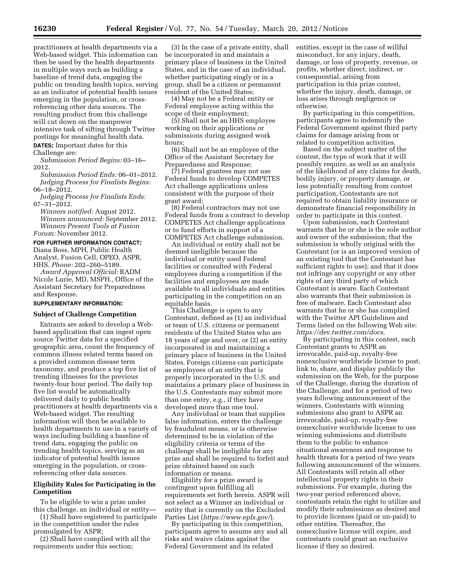practitioners at health departments via a Web-based widget. This information can then be used by the health departments in multiple ways such as building a baseline of trend data, engaging the public on trending health topics, serving as an indicator of potential health issues emerging in the population, or crossreferencing other data sources. The resulting product from this challenge will cut down on the manpower intensive task of sifting through Twitter postings for meaningful health data.

**DATES:** Important dates for this Challenge are:

*Submission Period Begins:* 03–16– 2012.

*Submission Period Ends:* 06–01–2012. *Judging Process for Finalists Begins:*  06–18–2012.

*Judging Process for Finalists Ends:*  07–31–2012.

*Winners notified:* August 2012. *Winners announced:* September 2012. *Winners Present Tools at Fusion Forum:* November 2012.

#### **FOR FURTHER INFORMATION CONTACT:**

Diana Boss, MPH, Public Health Analyst, Fusion Cell, OPEO, ASPR, HHS. *Phone:* 202–260–5189.

*Award Approval Official:* RADM Nicole Lurie, MD, MSPH., Office of the Assistant Secretary for Preparedness and Response.

#### **SUPPLEMENTARY INFORMATION:**

#### **Subject of Challenge Competition**

Entrants are asked to develop a Webbased application that can ingest open source Twitter data for a specified geographic area, count the frequency of common illness related terms based on a provided common disease term taxonomy, and produce a top five list of trending illnesses for the previous twenty-four hour period. The daily top five list would be automatically delivered daily to public health practitioners at health departments via a Web-based widget. The resulting information will then be available to health departments to use in a variety of ways including building a baseline of trend data, engaging the public on trending health topics, serving as an indicator of potential health issues emerging in the population, or crossreferencing other data sources.

# **Eligibility Rules for Participating in the Competition**

To be eligible to win a prize under this challenge, an individual or entity—

(1) Shall have registered to participate in the competition under the rules promulgated by ASPR;

(2) Shall have complied with all the requirements under this section;

(3) In the case of a private entity, shall be incorporated in and maintain a primary place of business in the United States, and in the case of an individual, whether participating singly or in a group, shall be a citizen or permanent resident of the United States;

(4) May not be a Federal entity or Federal employee acting within the scope of their employment;

(5) Shall not be an HHS employee working on their applications or submissions during assigned work hours;

(6) Shall not be an employee of the Office of the Assistant Secretary for Preparedness and Response;

(7) Federal grantees may not use Federal funds to develop COMPETES Act challenge applications unless consistent with the purpose of their grant award;

(8) Federal contractors may not use Federal funds from a contract to develop COMPETES Act challenge applications or to fund efforts in support of a COMPETES Act challenge submission.

An individual or entity shall not be deemed ineligible because the individual or entity used Federal facilities or consulted with Federal employees during a competition if the facilities and employees are made available to all individuals and entities participating in the competition on an equitable basis.

This Challenge is open to any Contestant, defined as (1) an individual or team of U.S. citizens or permanent residents of the United States who are 18 years of age and over, or (2) an entity incorporated in and maintaining a primary place of business in the United States. Foreign citizens can participate as employees of an entity that is properly incorporated in the U.S. and maintains a primary place of business in the U.S. Contestants may submit more than one entry, e.g., if they have developed more than one tool.

Any individual or team that supplies false information, enters the challenge by fraudulent means, or is otherwise determined to be in violation of the eligibility criteria or terms of the challenge shall be ineligible for any prize and shall be required to forfeit and prize obtained based on such information or means.

Eligibility for a prize award is contingent upon fulfilling all requirements set forth herein. ASPR will not select as a Winner an individual or entity that is currently on the Excluded Parties List (*https://www.epls.gov/*).

By participating in this competition, participants agree to assume any and all risks and waive claims against the Federal Government and its related

entities, except in the case of willful misconduct, for any injury, death, damage, or loss of property, revenue, or profits, whether direct, indirect, or consequential, arising from participation in this prize contest, whether the injury, death, damage, or loss arises through negligence or otherwise.

By participating in this competition, participants agree to indemnify the Federal Government against third party claims for damage arising from or related to competition activities.

Based on the subject matter of the contest, the type of work that it will possibly require, as well as an analysis of the likelihood of any claims for death, bodily injury, or property damage, or loss potentially resulting from contest participation, Contestants are not required to obtain liability insurance or demonstrate financial responsibility in order to participate in this contest.

Upon submission, each Contestant warrants that he or she is the sole author and owner of the submission; that the submission is wholly original with the Contestant (or is an improved version of an existing tool that the Contestant has sufficient rights to use); and that it does not infringe any copyright or any other rights of any third party of which Contestant is aware. Each Contestant also warrants that their submission is free of malware. Each Contestant also warrants that he or she has complied with the Twitter API Guidelines and Terms listed on the following Web site: *https://dev.twitter.com/docs.* 

By participating in this contest, each Contestant grants to ASPR an irrevocable, paid-up, royalty-free nonexclusive worldwide license to post, link to, share, and display publicly the submission on the Web, for the purpose of the Challenge, during the duration of the Challenge, and for a period of two years following announcement of the winners. Contestants with winning submissions also grant to ASPR an irrevocable, paid-up, royalty-free nonexclusive worldwide license to use winning submissions and distribute them to the public to enhance situational awareness and response to health threats for a period of two years following announcement of the winners. All Contestants will retain all other intellectual property rights in their submissions. For example, during the two-year period referenced above, contestants retain the right to utilize and modify their submissions as desired and to provide licenses (paid or un-paid) to other entities. Thereafter, the nonexclusive license will expire, and contestants could grant an exclusive license if they so desired.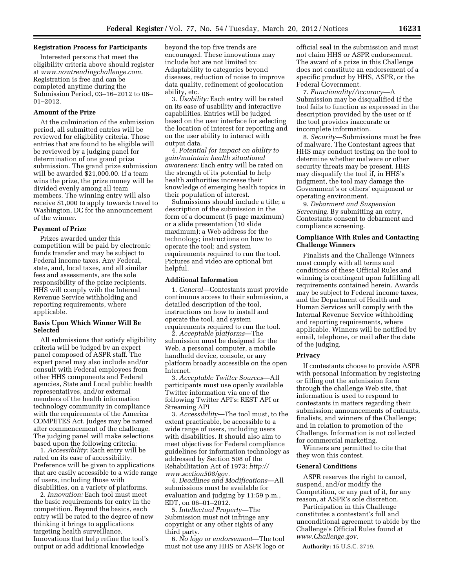# **Registration Process for Participants**

Interested persons that meet the eligibility criteria above should register at *www.nowtrendingchallenge.com.*  Registration is free and can be completed anytime during the Submission Period, 03–16–2012 to 06– 01–2012.

## **Amount of the Prize**

At the culmination of the submission period, all submitted entries will be reviewed for eligibility criteria. Those entries that are found to be eligible will be reviewed by a judging panel for determination of one grand prize submission. The grand prize submission will be awarded \$21,000.00. If a team wins the prize, the prize money will be divided evenly among all team members. The winning entry will also receive \$1,000 to apply towards travel to Washington, DC for the announcement of the winner.

### **Payment of Prize**

Prizes awarded under this competition will be paid by electronic funds transfer and may be subject to Federal income taxes. Any Federal, state, and, local taxes, and all similar fees and assessments, are the sole responsibility of the prize recipients. HHS will comply with the Internal Revenue Service withholding and reporting requirements, where applicable.

## **Basis Upon Which Winner Will Be Selected**

All submissions that satisfy eligibility criteria will be judged by an expert panel composed of ASPR staff. The expert panel may also include and/or consult with Federal employees from other HHS components and Federal agencies, State and Local public health representatives, and/or external members of the health information technology community in compliance with the requirements of the America COMPETES Act. Judges may be named after commencement of the challenge. The judging panel will make selections based upon the following criteria:

1. *Accessibility:* Each entry will be rated on its ease of accessibility. Preference will be given to applications that are easily accessible to a wide range of users, including those with disabilities, on a variety of platforms.

2. *Innovation:* Each tool must meet the basic requirements for entry in the competition. Beyond the basics, each entry will be rated to the degree of new thinking it brings to applications targeting health surveillance. Innovations that help refine the tool's output or add additional knowledge

beyond the top five trends are encouraged. These innovations may include but are not limited to: Adaptability to categories beyond diseases, reduction of noise to improve data quality, refinement of geolocation ability, etc.

3. *Usability:* Each entry will be rated on its ease of usability and interactive capabilities. Entries will be judged based on the user interface for selecting the location of interest for reporting and on the user ability to interact with output data.

4. *Potential for impact on ability to gain/maintain health situational awareness:* Each entry will be rated on the strength of its potential to help health authorities increase their knowledge of emerging health topics in their population of interest.

Submissions should include a title; a description of the submission in the form of a document (5 page maximum) or a slide presentation (10 slide maximum); a Web address for the technology; instructions on how to operate the tool; and system requirements required to run the tool. Pictures and video are optional but helpful.

#### **Additional Information**

1. *General*—Contestants must provide continuous access to their submission, a detailed description of the tool, instructions on how to install and operate the tool, and system requirements required to run the tool.

2. *Acceptable platforms*—The submission must be designed for the Web, a personal computer, a mobile handheld device, console, or any platform broadly accessible on the open Internet.

3. *Acceptable Twitter Sources*—All participants must use openly available Twitter information via one of the following Twitter API's: REST API or Streaming API

3. *Accessibility*—The tool must, to the extent practicable, be accessible to a wide range of users, including users with disabilities. It should also aim to meet objectives for Federal compliance guidelines for information technology as addressed by Section 508 of the Rehabilitation Act of 1973: *[http://](http://www.section508/gov)  [www.section508/gov.](http://www.section508/gov)* 

4. *Deadlines and Modifications*—All submissions must be available for evaluation and judging by 11:59 p.m., EDT, on 06–01–2012.

5. *Intellectual Property*—The Submission must not infringe any copyright or any other rights of any third party.

6. *No logo or endorsement*—The tool must not use any HHS or ASPR logo or

official seal in the submission and must not claim HHS or ASPR endorsement. The award of a prize in this Challenge does not constitute an endorsement of a specific product by HHS, ASPR, or the Federal Government.

7. *Functionality/Accuracy*—A Submission may be disqualified if the tool fails to function as expressed in the description provided by the user or if the tool provides inaccurate or incomplete information.

8. *Security*—Submissions must be free of malware. The Contestant agrees that HHS may conduct testing on the tool to determine whether malware or other security threats may be present. HHS may disqualify the tool if, in HHS's judgment, the tool may damage the Government's or others' equipment or operating environment.

9. *Debarment and Suspension Screening.* By submitting an entry, Contestants consent to debarment and compliance screening.

## **Compliance With Rules and Contacting Challenge Winners**

Finalists and the Challenge Winners must comply with all terms and conditions of these Official Rules and winning is contingent upon fulfilling all requirements contained herein. Awards may be subject to Federal income taxes, and the Department of Health and Human Services will comply with the Internal Revenue Service withholding and reporting requirements, where applicable. Winners will be notified by email, telephone, or mail after the date of the judging.

### **Privacy**

If contestants choose to provide ASPR with personal information by registering or filling out the submission form through the challenge Web site, that information is used to respond to contestants in matters regarding their submission; announcements of entrants, finalists, and winners of the Challenge; and in relation to promotion of the Challenge. Information is not collected for commercial marketing.

Winners are permitted to cite that they won this contest.

### **General Conditions**

ASPR reserves the right to cancel, suspend, and/or modify the Competition, or any part of it, for any reason, at ASPR's sole discretion.

Participation in this Challenge constitutes a contestant's full and unconditional agreement to abide by the Challenge's Official Rules found at *[www.Challenge.gov.](http://www.Challenge.gov)* 

**Authority:** 15 U.S.C. 3719.